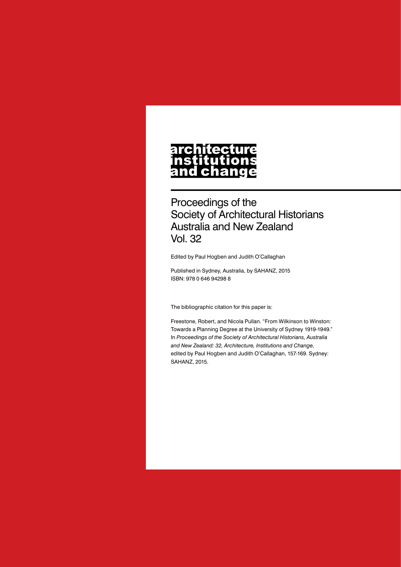# **architecture** nstitutions<br>and change

Proceedings of the Society of Architectural Historians Australia and New Zealand Vol. 32

Edited by Paul Hogben and Judith O'Callaghan

Published in Sydney, Australia, by SAHANZ, 2015 ISBN: 978 0 646 94298 8

The bibliographic citation for this paper is:

Freestone, Robert, and Nicola Pullan. "From Wilkinson to Winston: Towards a Planning Degree at the University of Sydney 1919-1949." In *Proceedings of the Society of Architectural Historians, Australia and New Zealand: 32, Architecture, Institutions and Change*, edited by Paul Hogben and Judith O'Callaghan, 157-169. Sydney: SAHANZ, 2015.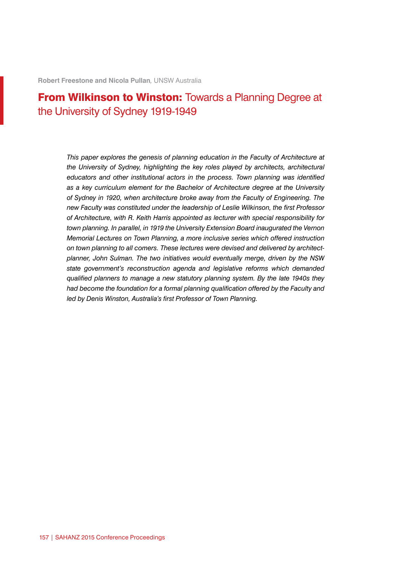**Robert Freestone and Nicola Pullan***,* UNSW Australia

# **From Wilkinson to Winston: Towards a Planning Degree at** the University of Sydney 1919-1949

*This paper explores the genesis of planning education in the Faculty of Architecture at the University of Sydney, highlighting the key roles played by architects, architectural educators and other institutional actors in the process. Town planning was identified as a key curriculum element for the Bachelor of Architecture degree at the University of Sydney in 1920, when architecture broke away from the Faculty of Engineering. The new Faculty was constituted under the leadership of Leslie Wilkinson, the first Professor of Architecture, with R. Keith Harris appointed as lecturer with special responsibility for town planning. In parallel, in 1919 the University Extension Board inaugurated the Vernon Memorial Lectures on Town Planning, a more inclusive series which offered instruction on town planning to all comers. These lectures were devised and delivered by architectplanner, John Sulman. The two initiatives would eventually merge, driven by the NSW state government's reconstruction agenda and legislative reforms which demanded qualified planners to manage a new statutory planning system. By the late 1940s they had become the foundation for a formal planning qualification offered by the Faculty and led by Denis Winston, Australia's first Professor of Town Planning.*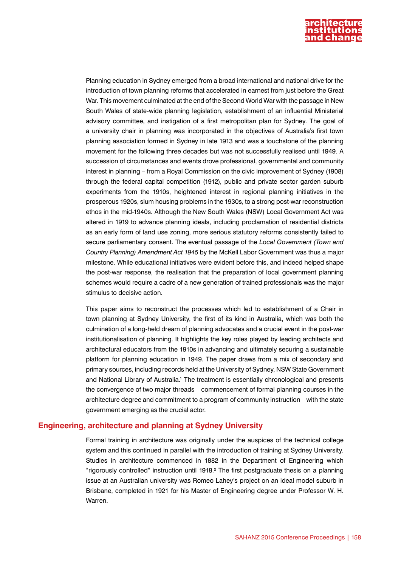

Planning education in Sydney emerged from a broad international and national drive for the introduction of town planning reforms that accelerated in earnest from just before the Great War. This movement culminated at the end of the Second World War with the passage in New South Wales of state-wide planning legislation, establishment of an influential Ministerial advisory committee, and instigation of a first metropolitan plan for Sydney. The goal of a university chair in planning was incorporated in the objectives of Australia's first town planning association formed in Sydney in late 1913 and was a touchstone of the planning movement for the following three decades but was not successfully realised until 1949. A succession of circumstances and events drove professional, governmental and community interest in planning – from a Royal Commission on the civic improvement of Sydney (1908) through the federal capital competition (1912), public and private sector garden suburb experiments from the 1910s, heightened interest in regional planning initiatives in the prosperous 1920s, slum housing problems in the 1930s, to a strong post-war reconstruction ethos in the mid-1940s. Although the New South Wales (NSW) Local Government Act was altered in 1919 to advance planning ideals, including proclamation of residential districts as an early form of land use zoning, more serious statutory reforms consistently failed to secure parliamentary consent. The eventual passage of the *Local Government (Town and Country Planning) Amendment Act 1945* by the McKell Labor Government was thus a major milestone. While educational initiatives were evident before this, and indeed helped shape the post-war response, the realisation that the preparation of local government planning schemes would require a cadre of a new generation of trained professionals was the major stimulus to decisive action.

This paper aims to reconstruct the processes which led to establishment of a Chair in town planning at Sydney University, the first of its kind in Australia, which was both the culmination of a long-held dream of planning advocates and a crucial event in the post-war institutionalisation of planning. It highlights the key roles played by leading architects and architectural educators from the 1910s in advancing and ultimately securing a sustainable platform for planning education in 1949. The paper draws from a mix of secondary and primary sources, including records held at the University of Sydney, NSW State Government and National Library of Australia.<sup>1</sup> The treatment is essentially chronological and presents the convergence of two major threads – commencement of formal planning courses in the architecture degree and commitment to a program of community instruction – with the state government emerging as the crucial actor.

#### **Engineering, architecture and planning at Sydney University**

Formal training in architecture was originally under the auspices of the technical college system and this continued in parallel with the introduction of training at Sydney University. Studies in architecture commenced in 1882 in the Department of Engineering which "rigorously controlled" instruction until 1918.<sup>2</sup> The first postgraduate thesis on a planning issue at an Australian university was Romeo Lahey's project on an ideal model suburb in Brisbane, completed in 1921 for his Master of Engineering degree under Professor W. H. Warren.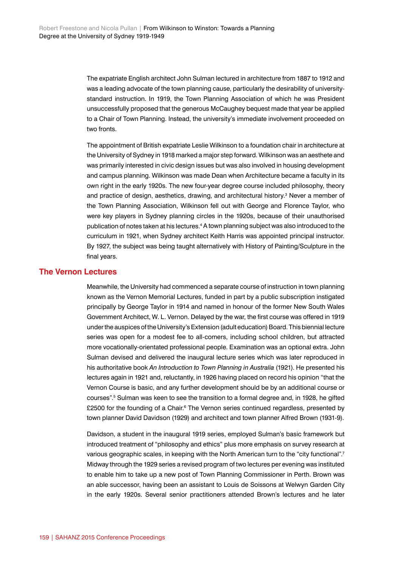The expatriate English architect John Sulman lectured in architecture from 1887 to 1912 and was a leading advocate of the town planning cause, particularly the desirability of universitystandard instruction. In 1919, the Town Planning Association of which he was President unsuccessfully proposed that the generous McCaughey bequest made that year be applied to a Chair of Town Planning. Instead, the university's immediate involvement proceeded on two fronts.

The appointment of British expatriate Leslie Wilkinson to a foundation chair in architecture at the University of Sydney in 1918 marked a major step forward. Wilkinson was an aesthete and was primarily interested in civic design issues but was also involved in housing development and campus planning. Wilkinson was made Dean when Architecture became a faculty in its own right in the early 1920s. The new four-year degree course included philosophy, theory and practice of design, aesthetics, drawing, and architectural history.<sup>3</sup> Never a member of the Town Planning Association, Wilkinson fell out with George and Florence Taylor, who were key players in Sydney planning circles in the 1920s, because of their unauthorised publication of notes taken at his lectures.<sup>4</sup> A town planning subject was also introduced to the curriculum in 1921, when Sydney architect Keith Harris was appointed principal instructor. By 1927, the subject was being taught alternatively with History of Painting/Sculpture in the final years.

# **The Vernon Lectures**

Meanwhile, the University had commenced a separate course of instruction in town planning known as the Vernon Memorial Lectures, funded in part by a public subscription instigated principally by George Taylor in 1914 and named in honour of the former New South Wales Government Architect, W. L. Vernon. Delayed by the war, the first course was offered in 1919 under the auspices of the University's Extension (adult education) Board. This biennial lecture series was open for a modest fee to all-comers, including school children, but attracted more vocationally-orientated professional people. Examination was an optional extra. John Sulman devised and delivered the inaugural lecture series which was later reproduced in his authoritative book *An Introduction to Town Planning in Australia* (1921). He presented his lectures again in 1921 and, reluctantly, in 1926 having placed on record his opinion "that the Vernon Course is basic, and any further development should be by an additional course or courses".<sup>5</sup> Sulman was keen to see the transition to a formal degree and, in 1928, he gifted £2500 for the founding of a Chair.<sup>6</sup> The Vernon series continued regardless, presented by town planner David Davidson (1929) and architect and town planner Alfred Brown (1931-9).

Davidson, a student in the inaugural 1919 series, employed Sulman's basic framework but introduced treatment of "philosophy and ethics" plus more emphasis on survey research at various geographic scales, in keeping with the North American turn to the "city functional".<sup>7</sup> Midway through the 1929 series a revised program of two lectures per evening was instituted to enable him to take up a new post of Town Planning Commissioner in Perth. Brown was an able successor, having been an assistant to Louis de Soissons at Welwyn Garden City in the early 1920s. Several senior practitioners attended Brown's lectures and he later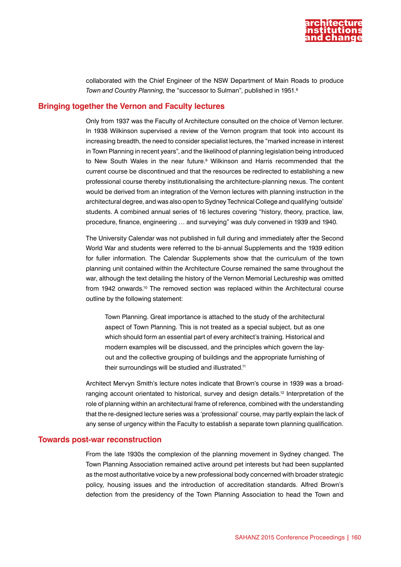

collaborated with the Chief Engineer of the NSW Department of Main Roads to produce *Town and Country Planning*, the "successor to Sulman", published in 1951.8

#### **Bringing together the Vernon and Faculty lectures**

Only from 1937 was the Faculty of Architecture consulted on the choice of Vernon lecturer. In 1938 Wilkinson supervised a review of the Vernon program that took into account its increasing breadth, the need to consider specialist lectures, the "marked increase in interest in Town Planning in recent years", and the likelihood of planning legislation being introduced to New South Wales in the near future.<sup>9</sup> Wilkinson and Harris recommended that the current course be discontinued and that the resources be redirected to establishing a new professional course thereby institutionalising the architecture-planning nexus. The content would be derived from an integration of the Vernon lectures with planning instruction in the architectural degree, and was also open to Sydney Technical College and qualifying 'outside' students. A combined annual series of 16 lectures covering "history, theory, practice, law, procedure, finance, engineering … and surveying" was duly convened in 1939 and 1940.

The University Calendar was not published in full during and immediately after the Second World War and students were referred to the bi-annual Supplements and the 1939 edition for fuller information. The Calendar Supplements show that the curriculum of the town planning unit contained within the Architecture Course remained the same throughout the war, although the text detailing the history of the Vernon Memorial Lectureship was omitted from 1942 onwards.<sup>10</sup> The removed section was replaced within the Architectural course outline by the following statement:

Town Planning. Great importance is attached to the study of the architectural aspect of Town Planning. This is not treated as a special subject, but as one which should form an essential part of every architect's training. Historical and modern examples will be discussed, and the principles which govern the layout and the collective grouping of buildings and the appropriate furnishing of their surroundings will be studied and illustrated.<sup>11</sup>

Architect Mervyn Smith's lecture notes indicate that Brown's course in 1939 was a broadranging account orientated to historical, survey and design details.12 Interpretation of the role of planning within an architectural frame of reference, combined with the understanding that the re-designed lecture series was a 'professional' course, may partly explain the lack of any sense of urgency within the Faculty to establish a separate town planning qualification.

#### **Towards post-war reconstruction**

From the late 1930s the complexion of the planning movement in Sydney changed. The Town Planning Association remained active around pet interests but had been supplanted as the most authoritative voice by a new professional body concerned with broader strategic policy, housing issues and the introduction of accreditation standards. Alfred Brown's defection from the presidency of the Town Planning Association to head the Town and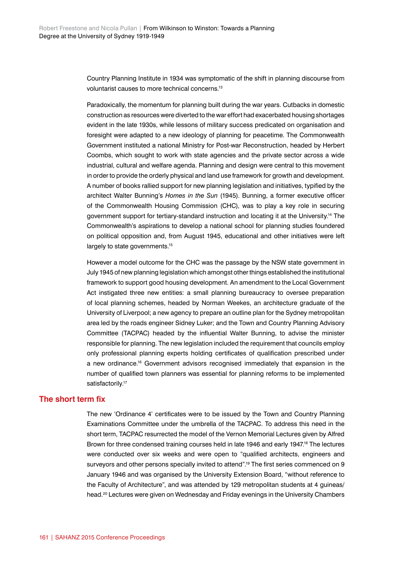Country Planning Institute in 1934 was symptomatic of the shift in planning discourse from voluntarist causes to more technical concerns.13

Paradoxically, the momentum for planning built during the war years. Cutbacks in domestic construction as resources were diverted to the war effort had exacerbated housing shortages evident in the late 1930s, while lessons of military success predicated on organisation and foresight were adapted to a new ideology of planning for peacetime. The Commonwealth Government instituted a national Ministry for Post-war Reconstruction, headed by Herbert Coombs, which sought to work with state agencies and the private sector across a wide industrial, cultural and welfare agenda. Planning and design were central to this movement in order to provide the orderly physical and land use framework for growth and development. A number of books rallied support for new planning legislation and initiatives, typified by the architect Walter Bunning's *Homes in the Sun* (1945). Bunning, a former executive officer of the Commonwealth Housing Commission (CHC), was to play a key role in securing government support for tertiary-standard instruction and locating it at the University.14 The Commonwealth's aspirations to develop a national school for planning studies foundered on political opposition and, from August 1945, educational and other initiatives were left largely to state governments.<sup>15</sup>

However a model outcome for the CHC was the passage by the NSW state government in July 1945 of new planning legislation which amongst other things established the institutional framework to support good housing development. An amendment to the Local Government Act instigated three new entities: a small planning bureaucracy to oversee preparation of local planning schemes, headed by Norman Weekes, an architecture graduate of the University of Liverpool; a new agency to prepare an outline plan for the Sydney metropolitan area led by the roads engineer Sidney Luker; and the Town and Country Planning Advisory Committee (TACPAC) headed by the influential Walter Bunning, to advise the minister responsible for planning. The new legislation included the requirement that councils employ only professional planning experts holding certificates of qualification prescribed under a new ordinance.16 Government advisors recognised immediately that expansion in the number of qualified town planners was essential for planning reforms to be implemented satisfactorily.<sup>17</sup>

#### **The short term fix**

The new 'Ordinance 4' certificates were to be issued by the Town and Country Planning Examinations Committee under the umbrella of the TACPAC. To address this need in the short term, TACPAC resurrected the model of the Vernon Memorial Lectures given by Alfred Brown for three condensed training courses held in late 1946 and early 1947.<sup>18</sup> The lectures were conducted over six weeks and were open to "qualified architects, engineers and survevors and other persons specially invited to attend".<sup>19</sup> The first series commenced on 9 January 1946 and was organised by the University Extension Board, "without reference to the Faculty of Architecture", and was attended by 129 metropolitan students at 4 guineas/ head.<sup>20</sup> Lectures were given on Wednesday and Friday evenings in the University Chambers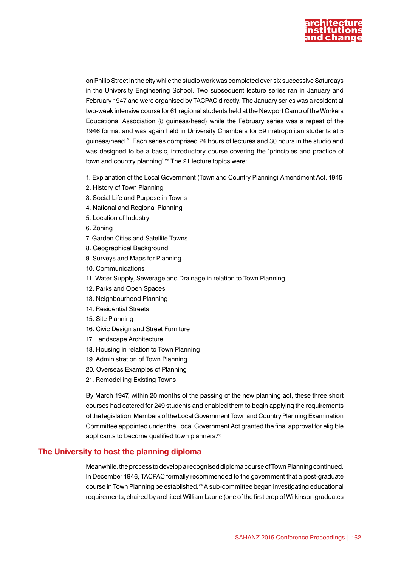

on Philip Street in the city while the studio work was completed over six successive Saturdays in the University Engineering School. Two subsequent lecture series ran in January and February 1947 and were organised by TACPAC directly. The January series was a residential two-week intensive course for 61 regional students held at the Newport Camp of the Workers Educational Association (8 guineas/head) while the February series was a repeat of the 1946 format and was again held in University Chambers for 59 metropolitan students at 5 guineas/head.21 Each series comprised 24 hours of lectures and 30 hours in the studio and was designed to be a basic, introductory course covering the 'principles and practice of town and country planning'.<sup>22</sup> The 21 lecture topics were:

- 1. Explanation of the Local Government (Town and Country Planning) Amendment Act, 1945
- 2. History of Town Planning
- 3. Social Life and Purpose in Towns
- 4. National and Regional Planning
- 5. Location of Industry
- 6. Zoning
- 7. Garden Cities and Satellite Towns
- 8. Geographical Background
- 9. Surveys and Maps for Planning
- 10. Communications
- 11. Water Supply, Sewerage and Drainage in relation to Town Planning
- 12. Parks and Open Spaces
- 13. Neighbourhood Planning
- 14. Residential Streets
- 15. Site Planning
- 16. Civic Design and Street Furniture
- 17. Landscape Architecture
- 18. Housing in relation to Town Planning
- 19. Administration of Town Planning
- 20. Overseas Examples of Planning
- 21. Remodelling Existing Towns

By March 1947, within 20 months of the passing of the new planning act, these three short courses had catered for 249 students and enabled them to begin applying the requirements of the legislation. Members of the Local Government Town and Country Planning Examination Committee appointed under the Local Government Act granted the final approval for eligible applicants to become qualified town planners.<sup>23</sup>

#### **The University to host the planning diploma**

Meanwhile, the process to develop a recognised diploma course of Town Planning continued. In December 1946, TACPAC formally recommended to the government that a post-graduate course in Town Planning be established.<sup>24</sup> A sub-committee began investigating educational requirements, chaired by architect William Laurie (one of the first crop of Wilkinson graduates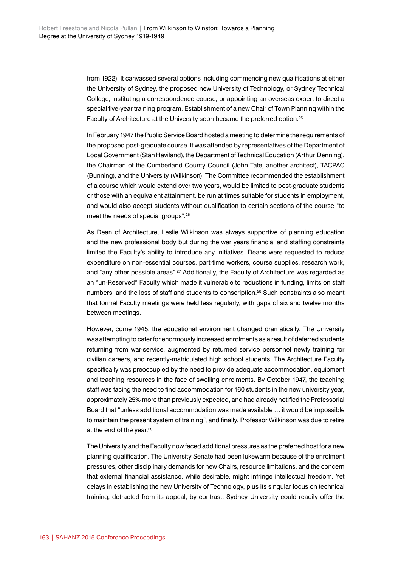from 1922). It canvassed several options including commencing new qualifications at either the University of Sydney, the proposed new University of Technology, or Sydney Technical College; instituting a correspondence course; or appointing an overseas expert to direct a special five-year training program. Establishment of a new Chair of Town Planning within the Faculty of Architecture at the University soon became the preferred option.<sup>25</sup>

In February 1947 the Public Service Board hosted a meeting to determine the requirements of the proposed post-graduate course. It was attended by representatives of the Department of Local Government (Stan Haviland), the Department of Technical Education (Arthur Denning), the Chairman of the Cumberland County Council (John Tate, another architect), TACPAC (Bunning), and the University (Wilkinson). The Committee recommended the establishment of a course which would extend over two years, would be limited to post-graduate students or those with an equivalent attainment, be run at times suitable for students in employment, and would also accept students without qualification to certain sections of the course "to meet the needs of special groups".26

As Dean of Architecture, Leslie Wilkinson was always supportive of planning education and the new professional body but during the war years financial and staffing constraints limited the Faculty's ability to introduce any initiatives. Deans were requested to reduce expenditure on non-essential courses, part-time workers, course supplies, research work, and "any other possible areas".<sup>27</sup> Additionally, the Faculty of Architecture was regarded as an "un-Reserved" Faculty which made it vulnerable to reductions in funding, limits on staff numbers, and the loss of staff and students to conscription.<sup>28</sup> Such constraints also meant that formal Faculty meetings were held less regularly, with gaps of six and twelve months between meetings.

However, come 1945, the educational environment changed dramatically. The University was attempting to cater for enormously increased enrolments as a result of deferred students returning from war-service, augmented by returned service personnel newly training for civilian careers, and recently-matriculated high school students. The Architecture Faculty specifically was preoccupied by the need to provide adequate accommodation, equipment and teaching resources in the face of swelling enrolments. By October 1947, the teaching staff was facing the need to find accommodation for 160 students in the new university year, approximately 25% more than previously expected, and had already notified the Professorial Board that "unless additional accommodation was made available … it would be impossible to maintain the present system of training", and finally, Professor Wilkinson was due to retire at the end of the year.<sup>29</sup>

The University and the Faculty now faced additional pressures as the preferred host for a new planning qualification. The University Senate had been lukewarm because of the enrolment pressures, other disciplinary demands for new Chairs, resource limitations, and the concern that external financial assistance, while desirable, might infringe intellectual freedom. Yet delays in establishing the new University of Technology, plus its singular focus on technical training, detracted from its appeal; by contrast, Sydney University could readily offer the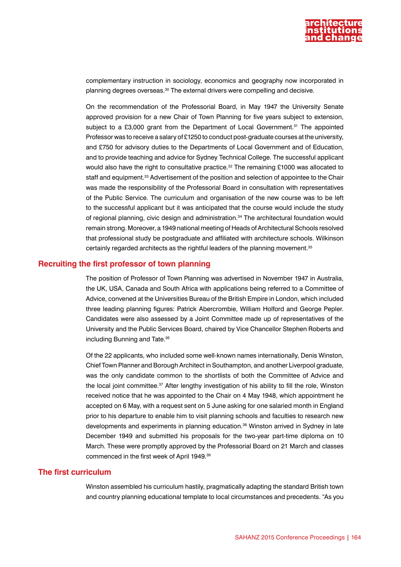

complementary instruction in sociology, economics and geography now incorporated in planning degrees overseas.30 The external drivers were compelling and decisive.

On the recommendation of the Professorial Board, in May 1947 the University Senate approved provision for a new Chair of Town Planning for five years subject to extension, subject to a £3,000 grant from the Department of Local Government.<sup>31</sup> The appointed Professor was to receive a salary of £1250 to conduct post-graduate courses at the university, and £750 for advisory duties to the Departments of Local Government and of Education, and to provide teaching and advice for Sydney Technical College. The successful applicant would also have the right to consultative practice.<sup>32</sup> The remaining £1000 was allocated to staff and equipment.<sup>33</sup> Advertisement of the position and selection of appointee to the Chair was made the responsibility of the Professorial Board in consultation with representatives of the Public Service. The curriculum and organisation of the new course was to be left to the successful applicant but it was anticipated that the course would include the study of regional planning, civic design and administration.34 The architectural foundation would remain strong. Moreover, a 1949 national meeting of Heads of Architectural Schools resolved that professional study be postgraduate and affiliated with architecture schools. Wilkinson certainly regarded architects as the rightful leaders of the planning movement.<sup>35</sup>

## **Recruiting the first professor of town planning**

The position of Professor of Town Planning was advertised in November 1947 in Australia, the UK, USA, Canada and South Africa with applications being referred to a Committee of Advice, convened at the Universities Bureau of the British Empire in London, which included three leading planning figures: Patrick Abercrombie, William Holford and George Pepler. Candidates were also assessed by a Joint Committee made up of representatives of the University and the Public Services Board, chaired by Vice Chancellor Stephen Roberts and including Bunning and Tate.<sup>36</sup>

Of the 22 applicants, who included some well-known names internationally, Denis Winston, Chief Town Planner and Borough Architect in Southampton, and another Liverpool graduate, was the only candidate common to the shortlists of both the Committee of Advice and the local joint committee.37 After lengthy investigation of his ability to fill the role, Winston received notice that he was appointed to the Chair on 4 May 1948, which appointment he accepted on 6 May, with a request sent on 5 June asking for one salaried month in England prior to his departure to enable him to visit planning schools and faculties to research new developments and experiments in planning education.<sup>38</sup> Winston arrived in Sydney in late December 1949 and submitted his proposals for the two-year part-time diploma on 10 March. These were promptly approved by the Professorial Board on 21 March and classes commenced in the first week of April 1949.39

# **The first curriculum**

Winston assembled his curriculum hastily, pragmatically adapting the standard British town and country planning educational template to local circumstances and precedents. "As you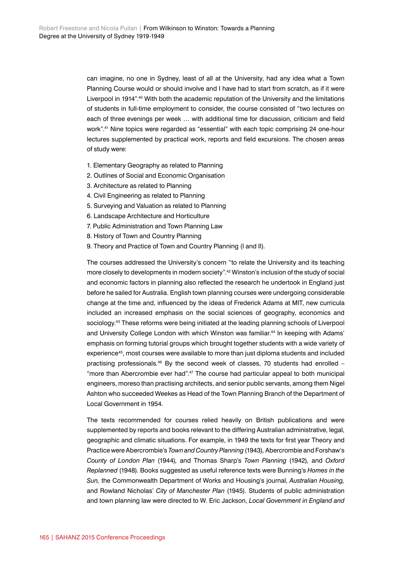can imagine, no one in Sydney, least of all at the University, had any idea what a Town Planning Course would or should involve and I have had to start from scratch, as if it were Liverpool in 1914".40 With both the academic reputation of the University and the limitations of students in full-time employment to consider, the course consisted of "two lectures on each of three evenings per week … with additional time for discussion, criticism and field work".41 Nine topics were regarded as "essential" with each topic comprising 24 one-hour lectures supplemented by practical work, reports and field excursions. The chosen areas of study were:

- 1. Elementary Geography as related to Planning
- 2. Outlines of Social and Economic Organisation
- 3. Architecture as related to Planning
- 4. Civil Engineering as related to Planning
- 5. Surveying and Valuation as related to Planning
- 6. Landscape Architecture and Horticulture
- 7. Public Administration and Town Planning Law
- 8. History of Town and Country Planning
- 9. Theory and Practice of Town and Country Planning (I and II).

The courses addressed the University's concern "to relate the University and its teaching more closely to developments in modern society".42 Winston's inclusion of the study of social and economic factors in planning also reflected the research he undertook in England just before he sailed for Australia. English town planning courses were undergoing considerable change at the time and, influenced by the ideas of Frederick Adams at MIT, new curricula included an increased emphasis on the social sciences of geography, economics and sociology.<sup>43</sup> These reforms were being initiated at the leading planning schools of Liverpool and University College London with which Winston was familiar.<sup>44</sup> In keeping with Adams' emphasis on forming tutorial groups which brought together students with a wide variety of experience<sup>45</sup>, most courses were available to more than just diploma students and included practising professionals.<sup>46</sup> By the second week of classes, 70 students had enrolled – "more than Abercrombie ever had".47 The course had particular appeal to both municipal engineers, moreso than practising architects, and senior public servants, among them Nigel Ashton who succeeded Weekes as Head of the Town Planning Branch of the Department of Local Government in 1954.

The texts recommended for courses relied heavily on British publications and were supplemented by reports and books relevant to the differing Australian administrative, legal, geographic and climatic situations. For example, in 1949 the texts for first year Theory and Practice were Abercrombie's *Town and Country Planning* (1943)*,* Abercrombie and Forshaw's *County of London Plan* (1944)*,* and Thomas Sharp's *Town Planning* (1942)*,* and *Oxford Replanned* (1948)*.* Books suggested as useful reference texts were Bunning's *Homes in the Sun,* the Commonwealth Department of Works and Housing's journal, *Australian Housing,*  and Rowland Nicholas' *City of Manchester Plan* (1945)*.* Students of public administration and town planning law were directed to W. Eric Jackson, *Local Government in England and*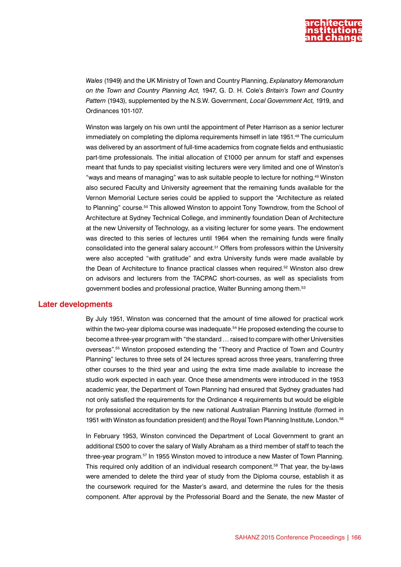

*Wales* (1949) and the UK Ministry of Town and Country Planning, *Explanatory Memorandum on the Town and Country Planning Act,* 1947, G. D. H. Cole's *Britain's Town and Country Pattern* (1943), supplemented by the N.S.W. Government, *Local Government Act,* 1919, and Ordinances 101-107.

Winston was largely on his own until the appointment of Peter Harrison as a senior lecturer immediately on completing the diploma requirements himself in late 1951.48 The curriculum was delivered by an assortment of full-time academics from cognate fields and enthusiastic part-time professionals. The initial allocation of £1000 per annum for staff and expenses meant that funds to pay specialist visiting lecturers were very limited and one of Winston's "ways and means of managing" was to ask suitable people to lecture for nothing.49 Winston also secured Faculty and University agreement that the remaining funds available for the Vernon Memorial Lecture series could be applied to support the "Architecture as related to Planning" course.<sup>50</sup> This allowed Winston to appoint Tony Towndrow, from the School of Architecture at Sydney Technical College, and imminently foundation Dean of Architecture at the new University of Technology, as a visiting lecturer for some years. The endowment was directed to this series of lectures until 1964 when the remaining funds were finally consolidated into the general salary account.51 Offers from professors within the University were also accepted "with gratitude" and extra University funds were made available by the Dean of Architecture to finance practical classes when required.52 Winston also drew on advisors and lecturers from the TACPAC short-courses, as well as specialists from government bodies and professional practice, Walter Bunning among them.53

#### **Later developments**

By July 1951, Winston was concerned that the amount of time allowed for practical work within the two-year diploma course was inadequate.<sup>54</sup> He proposed extending the course to become a three-year program with "the standard … raised to compare with other Universities overseas".55 Winston proposed extending the "Theory and Practice of Town and Country Planning" lectures to three sets of 24 lectures spread across three years, transferring three other courses to the third year and using the extra time made available to increase the studio work expected in each year. Once these amendments were introduced in the 1953 academic year, the Department of Town Planning had ensured that Sydney graduates had not only satisfied the requirements for the Ordinance 4 requirements but would be eligible for professional accreditation by the new national Australian Planning Institute (formed in 1951 with Winston as foundation president) and the Royal Town Planning Institute, London.56

In February 1953, Winston convinced the Department of Local Government to grant an additional £500 to cover the salary of Wally Abraham as a third member of staff to teach the three-year program.57 In 1955 Winston moved to introduce a new Master of Town Planning. This required only addition of an individual research component.<sup>58</sup> That year, the by-laws were amended to delete the third year of study from the Diploma course, establish it as the coursework required for the Master's award, and determine the rules for the thesis component. After approval by the Professorial Board and the Senate, the new Master of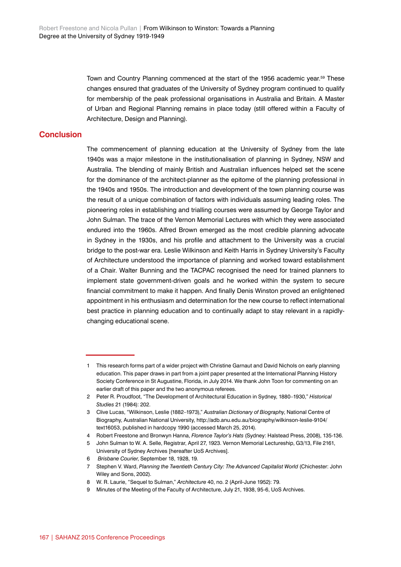Town and Country Planning commenced at the start of the 1956 academic year.<sup>59</sup> These changes ensured that graduates of the University of Sydney program continued to qualify for membership of the peak professional organisations in Australia and Britain. A Master of Urban and Regional Planning remains in place today (still offered within a Faculty of Architecture, Design and Planning).

# **Conclusion**

The commencement of planning education at the University of Sydney from the late 1940s was a major milestone in the institutionalisation of planning in Sydney, NSW and Australia. The blending of mainly British and Australian influences helped set the scene for the dominance of the architect-planner as the epitome of the planning professional in the 1940s and 1950s. The introduction and development of the town planning course was the result of a unique combination of factors with individuals assuming leading roles. The pioneering roles in establishing and trialling courses were assumed by George Taylor and John Sulman. The trace of the Vernon Memorial Lectures with which they were associated endured into the 1960s. Alfred Brown emerged as the most credible planning advocate in Sydney in the 1930s, and his profile and attachment to the University was a crucial bridge to the post-war era. Leslie Wilkinson and Keith Harris in Sydney University's Faculty of Architecture understood the importance of planning and worked toward establishment of a Chair. Walter Bunning and the TACPAC recognised the need for trained planners to implement state government-driven goals and he worked within the system to secure financial commitment to make it happen. And finally Denis Winston proved an enlightened appointment in his enthusiasm and determination for the new course to reflect international best practice in planning education and to continually adapt to stay relevant in a rapidlychanging educational scene.

<sup>1</sup> This research forms part of a wider project with Christine Garnaut and David Nichols on early planning education. This paper draws in part from a joint paper presented at the International Planning History Society Conference in St Augustine, Florida, in July 2014. We thank John Toon for commenting on an earlier draft of this paper and the two anonymous referees.

<sup>2</sup> Peter R. Proudfoot, "The Development of Architectural Education in Sydney, 1880–1930," *Historical Studies* 21 (1984): 202.

<sup>3</sup> Clive Lucas, "Wilkinson, Leslie (1882–1973)," *Australian Dictionary of Biography*, National Centre of Biography, Australian National University, http://adb.anu.edu.au/biography/wilkinson-leslie-9104/ text16053, published in hardcopy 1990 (accessed March 25, 2014).

<sup>4</sup> Robert Freestone and Bronwyn Hanna, *Florence Taylor's Hats* (Sydney: Halstead Press, 2008), 135-136.

<sup>5</sup> John Sulman to W. A. Selle, Registrar, April 27, 1923. Vernon Memorial Lectureship, G3/13, File 2161, University of Sydney Archives [hereafter UoS Archives].

<sup>6</sup> *Brisbane Courier*, September 18, 1928, 19.

<sup>7</sup> Stephen V. Ward, *Planning the Twentieth Century City: The Advanced Capitalist World* (Chichester: John Wiley and Sons, 2002).

<sup>8</sup> W. R. Laurie, "Sequel to Sulman," *Architecture* 40, no. 2 (April-June 1952): 79.

<sup>9</sup> Minutes of the Meeting of the Faculty of Architecture, July 21, 1938, 95-6, UoS Archives.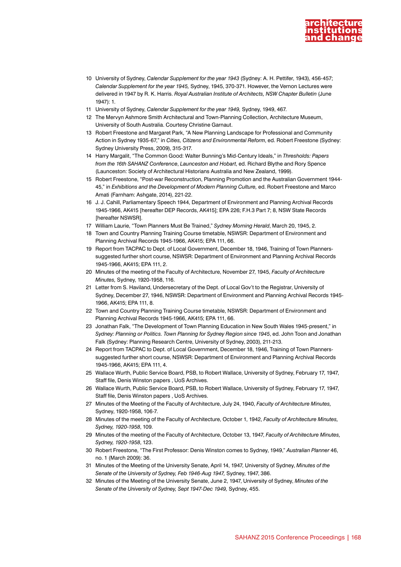

- 10 University of Sydney, *Calendar Supplement for the year 1943* (Sydney: A. H. Pettifer, 1943), 456-457; *Calendar Supplement for the year 1945,* Sydney, 1945, 370-371. However, the Vernon Lectures were delivered in 1947 by R. K. Harris. *Royal Australian Institute of Architects, NSW Chapter Bulletin* (June 1947): 1.
- 11 University of Sydney, *Calendar Supplement for the year 1949,* Sydney, 1949, 467.
- 12 The Mervyn Ashmore Smith Architectural and Town-Planning Collection, Architecture Museum, University of South Australia. Courtesy Christine Garnaut.
- 13 Robert Freestone and Margaret Park, "A New Planning Landscape for Professional and Community Action in Sydney 1935-67," in *Cities, Citizens and Environmental Reform*, ed. Robert Freestone (Sydney: Sydney University Press, 2009), 315-317.
- 14 Harry Margalit, "The Common Good: Walter Bunning's Mid-Century Ideals," in *Thresholds: Papers from the 16th SAHANZ Conference*, *Launceston and Hobart*, ed. Richard Blythe and Rory Spence (Launceston: Society of Architectural Historians Australia and New Zealand, 1999).
- 15 Robert Freestone, "Post-war Reconstruction, Planning Promotion and the Australian Government 1944- 45," in *Exhibitions and the Development of Modern Planning Culture,* ed. Robert Freestone and Marco Amati (Farnham: Ashgate, 2014), 221-22.
- 16 J. J. Cahill, Parliamentary Speech 1944, Department of Environment and Planning Archival Records 1945-1966, AK415 [hereafter DEP Records, AK415]; EPA 226; F.H.3 Part 7; 8, NSW State Records [hereafter NSWSR].
- 17 William Laurie, "Town Planners Must Be Trained," *Sydney Morning Herald*, March 20, 1945, 2.
- 18 Town and Country Planning Training Course timetable, NSWSR: Department of Environment and Planning Archival Records 1945-1966, AK415; EPA 111, 66.
- 19 Report from TACPAC to Dept. of Local Government, December 18, 1946, Training of Town Plannerssuggested further short course, NSWSR: Department of Environment and Planning Archival Records 1945-1966, AK415; EPA 111, 2.
- 20 Minutes of the meeting of the Faculty of Architecture, November 27, 1945, *Faculty of Architecture Minutes,* Sydney, 1920-1958, 116.
- 21 Letter from S. Haviland, Undersecretary of the Dept. of Local Gov't to the Registrar, University of Sydney, December 27, 1946, NSWSR: Department of Environment and Planning Archival Records 1945- 1966, AK415; EPA 111, 8.
- 22 Town and Country Planning Training Course timetable, NSWSR: Department of Environment and Planning Archival Records 1945-1966, AK415; EPA 111, 66.
- 23 Jonathan Falk, "The Development of Town Planning Education in New South Wales 1945-present," in *Sydney: Planning or Politics. Town Planning for Sydney Region since 1945*, ed. John Toon and Jonathan Falk (Sydney: Planning Research Centre, University of Sydney, 2003), 211-213.
- 24 Report from TACPAC to Dept. of Local Government, December 18, 1946, Training of Town Plannerssuggested further short course, NSWSR: Department of Environment and Planning Archival Records 1945-1966, AK415; EPA 111, 4.
- 25 Wallace Wurth, Public Service Board, PSB, to Robert Wallace, University of Sydney, February 17, 1947, Staff file, Denis Winston papers , UoS Archives.
- 26 Wallace Wurth, Public Service Board, PSB, to Robert Wallace, University of Sydney, February 17, 1947, Staff file, Denis Winston papers , UoS Archives.
- 27 Minutes of the Meeting of the Faculty of Architecture, July 24, 1940, *Faculty of Architecture Minutes,*  Sydney, 1920-1958, 106-7.
- 28 Minutes of the meeting of the Faculty of Architecture, October 1, 1942, *Faculty of Architecture Minutes, Sydney, 1920-1958*, 109.
- 29 Minutes of the meeting of the Faculty of Architecture, October 13, 1947, *Faculty of Architecture Minutes, Sydney, 1920-1958*, 123.
- 30 Robert Freestone, "The First Professor: Denis Winston comes to Sydney, 1949," *Australian Planner* 46, no. 1 (March 2009): 36.
- 31 Minutes of the Meeting of the University Senate, April 14, 1947, University of Sydney, *Minutes of the Senate of the University of Sydney, Feb 1946-Aug 1947,* Sydney, 1947, 386.
- 32 Minutes of the Meeting of the University Senate, June 2, 1947, University of Sydney, *Minutes of the Senate of the University of Sydney, Sept 1947-Dec 1949,* Sydney, 455.